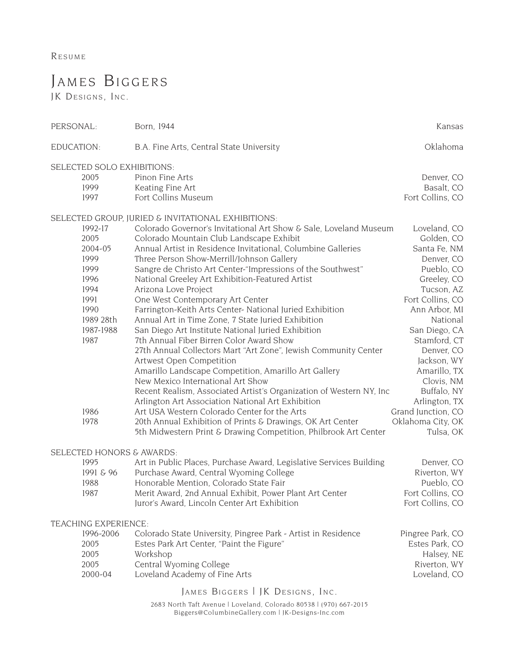RESUME

## JAMES BIGGERS

JK DESIGNS, INC.

| PERSONAL:                        | Born, 1944                                                          | Kansas             |  |
|----------------------------------|---------------------------------------------------------------------|--------------------|--|
| EDUCATION:                       | B.A. Fine Arts, Central State University                            | Oklahoma           |  |
| SELECTED SOLO EXHIBITIONS:       |                                                                     |                    |  |
| 2005                             | Pinon Fine Arts                                                     | Denver, CO         |  |
| 1999                             | Keating Fine Art                                                    | Basalt, CO         |  |
| 1997                             | Fort Collins Museum                                                 | Fort Collins, CO   |  |
|                                  | SELECTED GROUP, JURIED & INVITATIONAL EXHIBITIONS:                  |                    |  |
| 1992-17                          | Colorado Governor's Invitational Art Show & Sale, Loveland Museum   | Loveland, CO       |  |
| 2005                             | Colorado Mountain Club Landscape Exhibit                            | Golden, CO         |  |
| 2004-05                          | Annual Artist in Residence Invitational, Columbine Galleries        | Santa Fe, NM       |  |
| 1999                             | Three Person Show-Merrill/Johnson Gallery                           | Denver, CO         |  |
| 1999                             | Sangre de Christo Art Center-"Impressions of the Southwest"         | Pueblo, CO         |  |
| 1996                             | National Greeley Art Exhibition-Featured Artist                     | Greeley, CO        |  |
| 1994                             | Arizona Love Project                                                | Tucson, AZ         |  |
| 1991                             | One West Contemporary Art Center                                    | Fort Collins, CO   |  |
| 1990                             | Farrington-Keith Arts Center- National Juried Exhibition            | Ann Arbor, MI      |  |
| 1989 28th                        | Annual Art in Time Zone, 7 State Juried Exhibition                  | National           |  |
| 1987-1988                        | San Diego Art Institute National Juried Exhibition                  | San Diego, CA      |  |
| 1987                             | 7th Annual Fiber Birren Color Award Show                            | Stamford, CT       |  |
|                                  | 27th Annual Collectors Mart "Art Zone", Jewish Community Center     | Denver, CO         |  |
|                                  | Artwest Open Competition                                            | Jackson, WY        |  |
|                                  | Amarillo Landscape Competition, Amarillo Art Gallery                | Amarillo, TX       |  |
|                                  | New Mexico International Art Show                                   |                    |  |
|                                  |                                                                     | Clovis, NM         |  |
|                                  | Recent Realism, Associated Artist's Organization of Western NY, Inc | Buffalo, NY        |  |
|                                  | Arlington Art Association National Art Exhibition                   | Arlington, TX      |  |
| 1986                             | Art USA Western Colorado Center for the Arts                        | Grand Junction, CO |  |
| 1978                             | 20th Annual Exhibition of Prints & Drawings, OK Art Center          | Oklahoma City, OK  |  |
|                                  | 5th Midwestern Print & Drawing Competition, Philbrook Art Center    | Tulsa, OK          |  |
| SELECTED HONORS & AWARDS:        |                                                                     |                    |  |
| 1995                             | Art in Public Places, Purchase Award, Legislative Services Building | Denver, CO         |  |
| 1991 & 96                        | Purchase Award, Central Wyoming College                             | Riverton, WY       |  |
| 1988                             | Honorable Mention, Colorado State Fair                              | Pueblo, CO         |  |
| 1987                             | Merit Award, 2nd Annual Exhibit, Power Plant Art Center             | Fort Collins, CO   |  |
|                                  | Juror's Award, Lincoln Center Art Exhibition                        | Fort Collins, CO   |  |
| TEACHING EXPERIENCE:             |                                                                     |                    |  |
| 1996-2006                        | Colorado State University, Pingree Park - Artist in Residence       | Pingree Park, CO   |  |
| 2005                             | Estes Park Art Center, "Paint the Figure"                           | Estes Park, CO     |  |
| 2005                             | Workshop                                                            | Halsey, NE         |  |
| 2005                             | Central Wyoming College                                             | Riverton, WY       |  |
| 2000-04                          | Loveland Academy of Fine Arts                                       | Loveland, CO       |  |
|                                  |                                                                     |                    |  |
| JAMES BIGGERS   JK DESIGNS, INC. |                                                                     |                    |  |

2683 North Taft Avenue | Loveland, Colorado 80538 | (970) 667-2015 Biggers@ColumbineGallery.com | JK-Designs-Inc.com